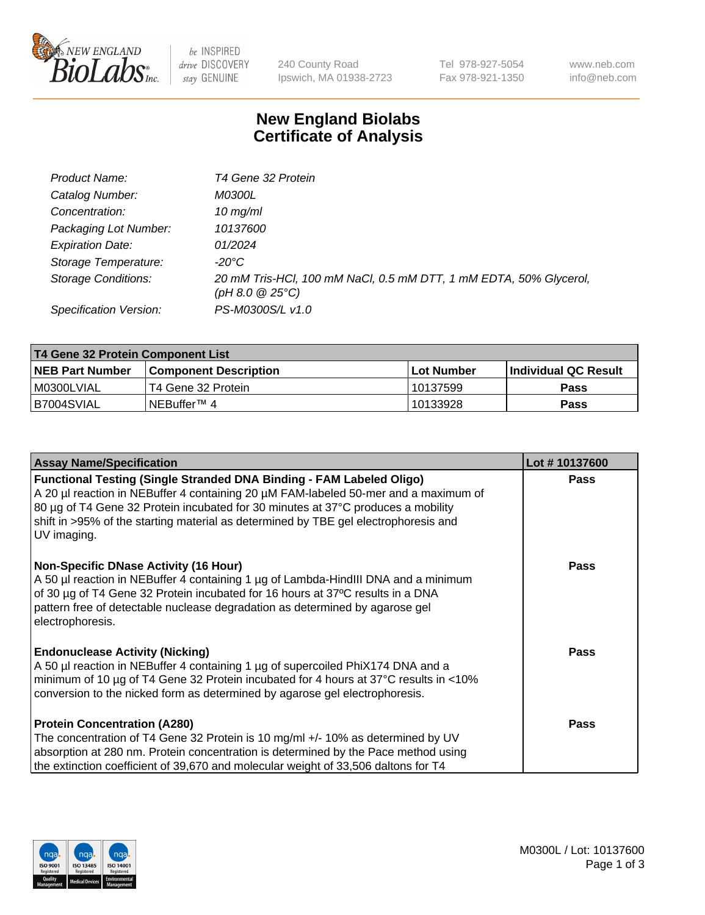

 $be$  INSPIRED drive DISCOVERY stay GENUINE

240 County Road Ipswich, MA 01938-2723 Tel 978-927-5054 Fax 978-921-1350 www.neb.com info@neb.com

## **New England Biolabs Certificate of Analysis**

| Product Name:              | T4 Gene 32 Protein                                                                       |
|----------------------------|------------------------------------------------------------------------------------------|
| Catalog Number:            | <i>M0300L</i>                                                                            |
| Concentration:             | $10 \, \text{mg/ml}$                                                                     |
| Packaging Lot Number:      | 10137600                                                                                 |
| <b>Expiration Date:</b>    | 01/2024                                                                                  |
| Storage Temperature:       | $-20^{\circ}$ C                                                                          |
| <b>Storage Conditions:</b> | 20 mM Tris-HCl, 100 mM NaCl, 0.5 mM DTT, 1 mM EDTA, 50% Glycerol,<br>$(pH 8.0 \ @ 25°C)$ |
| Specification Version:     | PS-M0300S/L v1.0                                                                         |

| T4 Gene 32 Protein Component List |                        |             |                      |  |  |
|-----------------------------------|------------------------|-------------|----------------------|--|--|
| <b>NEB Part Number</b>            | Component Description_ | ⊺Lot Number | Individual QC Result |  |  |
| M0300LVIAL                        | T4 Gene 32 Protein     | 10137599    | Pass                 |  |  |
| B7004SVIAL                        | INEBuffer™ 4           | 10133928    | Pass                 |  |  |

| <b>Assay Name/Specification</b>                                                                                                                                                                                                                                                                                                                              | Lot #10137600 |
|--------------------------------------------------------------------------------------------------------------------------------------------------------------------------------------------------------------------------------------------------------------------------------------------------------------------------------------------------------------|---------------|
| <b>Functional Testing (Single Stranded DNA Binding - FAM Labeled Oligo)</b><br>A 20 µl reaction in NEBuffer 4 containing 20 µM FAM-labeled 50-mer and a maximum of<br>80 µg of T4 Gene 32 Protein incubated for 30 minutes at 37°C produces a mobility<br>shift in >95% of the starting material as determined by TBE gel electrophoresis and<br>UV imaging. | <b>Pass</b>   |
| <b>Non-Specific DNase Activity (16 Hour)</b><br>A 50 µl reaction in NEBuffer 4 containing 1 µg of Lambda-HindIII DNA and a minimum<br>of 30 µg of T4 Gene 32 Protein incubated for 16 hours at 37°C results in a DNA<br>pattern free of detectable nuclease degradation as determined by agarose gel<br>electrophoresis.                                     | <b>Pass</b>   |
| <b>Endonuclease Activity (Nicking)</b><br>A 50 µl reaction in NEBuffer 4 containing 1 µg of supercoiled PhiX174 DNA and a<br>minimum of 10 μg of T4 Gene 32 Protein incubated for 4 hours at 37°C results in <10%<br>conversion to the nicked form as determined by agarose gel electrophoresis.                                                             | <b>Pass</b>   |
| <b>Protein Concentration (A280)</b><br>The concentration of T4 Gene 32 Protein is 10 mg/ml +/- 10% as determined by UV<br>absorption at 280 nm. Protein concentration is determined by the Pace method using<br>the extinction coefficient of 39,670 and molecular weight of 33,506 daltons for T4                                                           | <b>Pass</b>   |

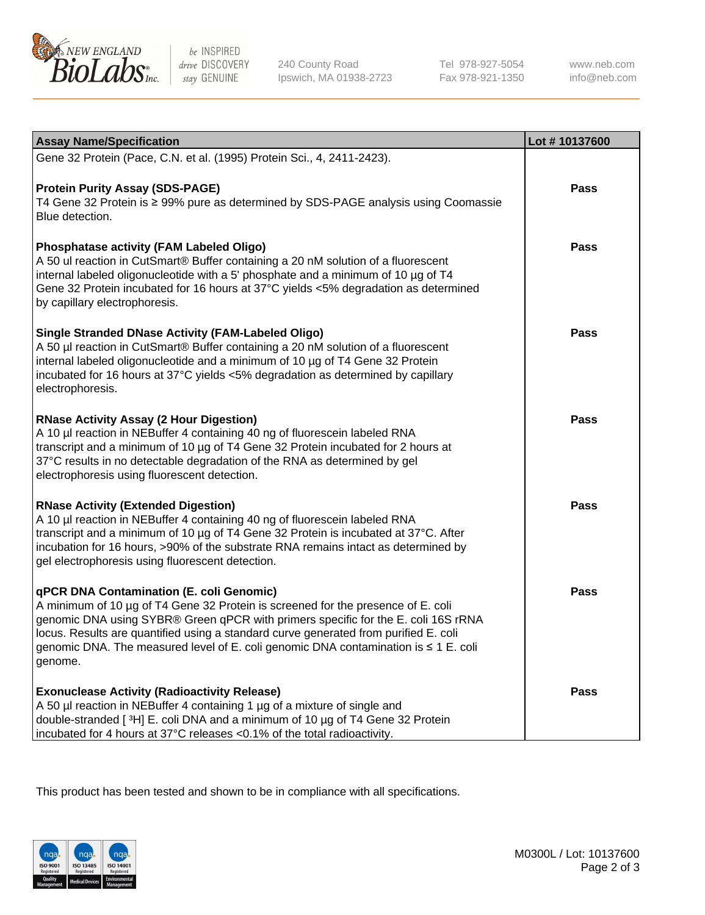

be INSPIRED drive DISCOVERY stay GENUINE

240 County Road Ipswich, MA 01938-2723 Tel 978-927-5054 Fax 978-921-1350 www.neb.com info@neb.com

| <b>Assay Name/Specification</b>                                                                                                                                                                                                                                                                                                                                                                             | Lot #10137600 |
|-------------------------------------------------------------------------------------------------------------------------------------------------------------------------------------------------------------------------------------------------------------------------------------------------------------------------------------------------------------------------------------------------------------|---------------|
| Gene 32 Protein (Pace, C.N. et al. (1995) Protein Sci., 4, 2411-2423).                                                                                                                                                                                                                                                                                                                                      |               |
| <b>Protein Purity Assay (SDS-PAGE)</b><br>T4 Gene 32 Protein is ≥ 99% pure as determined by SDS-PAGE analysis using Coomassie<br>Blue detection.                                                                                                                                                                                                                                                            | <b>Pass</b>   |
| <b>Phosphatase activity (FAM Labeled Oligo)</b><br>A 50 ul reaction in CutSmart® Buffer containing a 20 nM solution of a fluorescent<br>internal labeled oligonucleotide with a 5' phosphate and a minimum of 10 µg of T4<br>Gene 32 Protein incubated for 16 hours at 37°C yields <5% degradation as determined<br>by capillary electrophoresis.                                                           | <b>Pass</b>   |
| <b>Single Stranded DNase Activity (FAM-Labeled Oligo)</b><br>A 50 µl reaction in CutSmart® Buffer containing a 20 nM solution of a fluorescent<br>internal labeled oligonucleotide and a minimum of 10 µg of T4 Gene 32 Protein<br>incubated for 16 hours at 37°C yields <5% degradation as determined by capillary<br>electrophoresis.                                                                     | <b>Pass</b>   |
| <b>RNase Activity Assay (2 Hour Digestion)</b><br>A 10 µl reaction in NEBuffer 4 containing 40 ng of fluorescein labeled RNA<br>transcript and a minimum of 10 µg of T4 Gene 32 Protein incubated for 2 hours at<br>37°C results in no detectable degradation of the RNA as determined by gel<br>electrophoresis using fluorescent detection.                                                               | <b>Pass</b>   |
| <b>RNase Activity (Extended Digestion)</b><br>A 10 µl reaction in NEBuffer 4 containing 40 ng of fluorescein labeled RNA<br>transcript and a minimum of 10 µg of T4 Gene 32 Protein is incubated at 37°C. After<br>incubation for 16 hours, >90% of the substrate RNA remains intact as determined by<br>gel electrophoresis using fluorescent detection.                                                   | <b>Pass</b>   |
| qPCR DNA Contamination (E. coli Genomic)<br>A minimum of 10 µg of T4 Gene 32 Protein is screened for the presence of E. coli<br>genomic DNA using SYBR® Green qPCR with primers specific for the E. coli 16S rRNA<br>locus. Results are quantified using a standard curve generated from purified E. coli<br>genomic DNA. The measured level of E. coli genomic DNA contamination is ≤ 1 E. coli<br>genome. | <b>Pass</b>   |
| <b>Exonuclease Activity (Radioactivity Release)</b><br>A 50 µl reaction in NEBuffer 4 containing 1 µg of a mixture of single and<br>double-stranded [3H] E. coli DNA and a minimum of 10 µg of T4 Gene 32 Protein<br>incubated for 4 hours at 37°C releases <0.1% of the total radioactivity.                                                                                                               | Pass          |

This product has been tested and shown to be in compliance with all specifications.